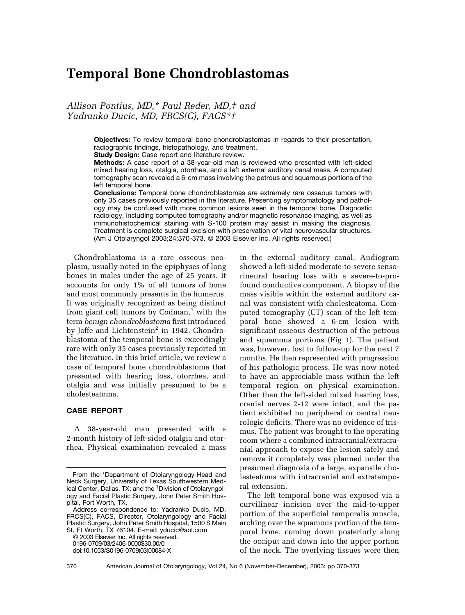# **Temporal Bone Chondroblastomas**

*Allison Pontius, MD,\* Paul Reder, MD,† and Yadranko Ducic, MD, FRCS(C), FACS\*†*

> **Objectives:** To review temporal bone chondroblastomas in regards to their presentation, radiographic findings, histopathology, and treatment.

**Study Design:** Case report and literature review.

**Methods:** A case report of a 38-year-old man is reviewed who presented with left-sided mixed hearing loss, otalgia, otorrhea, and a left external auditory canal mass. A computed tomography scan revealed a 6-cm mass involving the petrous and squamous portions of the left temporal bone.

**Conclusions:** Temporal bone chondroblastomas are extremely rare osseous tumors with only 35 cases previously reported in the literature. Presenting symptomatology and pathology may be confused with more common lesions seen in the temporal bone. Diagnostic radiology, including computed tomography and/or magnetic resonance imaging, as well as immunohistochemical staining with S-100 protein may assist in making the diagnosis. Treatment is complete surgical excision with preservation of vital neurovascular structures. (Am J Otolaryngol 2003;24:370-373. © 2003 Elsevier Inc. All rights reserved.)

Chondroblastoma is a rare osseous neoplasm, usually noted in the epiphyses of long bones in males under the age of 25 years. It accounts for only 1% of all tumors of bone and most commonly presents in the humerus. It was originally recognized as being distinct from giant cell tumors by  $Codman, 1$  $Codman, 1$  with the term *benign chondroblastoma* first introduced by Jaffe and Lichtenstein<sup>2</sup> in 1942. Chondroblastoma of the temporal bone is exceedingly rare with only 35 cases previously reported in the literature. In this brief article, we review a case of temporal bone chondroblastoma that presented with hearing loss, otorrhea, and otalgia and was initially presumed to be a cholesteatoma.

## **CASE REPORT**

A 38-year-old man presented with a 2-month history of left-sided otalgia and otorrhea. Physical examination revealed a mass

© 2003 Elsevier Inc. All rights reserved. 0196-0709/03/2406-0000\$30.00/0

doi:10.1053/S0196-0709(03)00084-X

in the external auditory canal. Audiogram showed a left-sided moderate-to-severe sensorineural hearing loss with a severe-to-profound conductive component. A biopsy of the mass visible within the external auditory canal was consistent with cholesteatoma. Computed tomography (CT) scan of the left temporal bone showed a 6-cm lesion with significant osseous destruction of the petrous and squamous portions [\(Fig 1\)](#page-1-0). The patient was, however, lost to follow-up for the next 7 months. He then represented with progression of his pathologic process. He was now noted to have an appreciable mass within the left temporal region on physical examination. Other than the left-sided mixed hearing loss, cranial nerves 2-12 were intact, and the patient exhibited no peripheral or central neurologic deficits. There was no evidence of trismus. The patient was brought to the operating room where a combined intracranial/extracranial approach to expose the lesion safely and remove it completely was planned under the presumed diagnosis of a large, expansile cholesteatoma with intracranial and extratemporal extension.

The left temporal bone was exposed via a curvilinear incision over the mid-to-upper portion of the superficial temporalis muscle, arching over the squamous portion of the temporal bone, coming down posteriorly along the occiput and down into the upper portion of the neck. The overlying tissues were then

From the \*Department of Otolaryngology-Head and Neck Surgery, University of Texas Southwestern Medical Center, Dallas, TX; and the † Division of Otolaryngology and Facial Plastic Surgery, John Peter Smith Hospital, Fort Worth, TX.

Address correspondence to: Yadranko Ducic, MD, FRCS(C), FACS, Director, Otolaryngology and Facial Plastic Surgery, John Peter Smith Hospital, 1500 S Main St, Ft Worth, TX 76104. E-mail: yducic@aol.com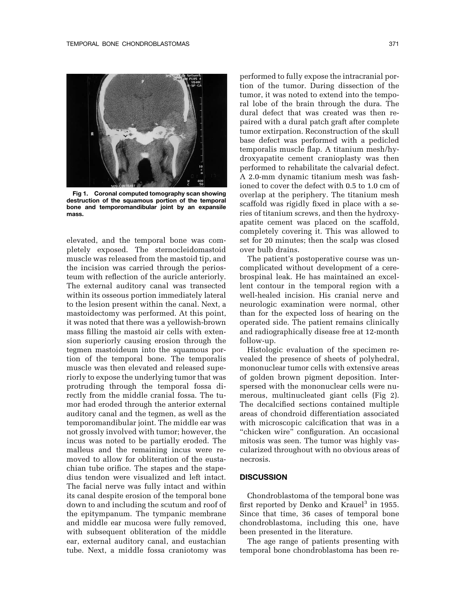<span id="page-1-0"></span>

**Fig 1. Coronal computed tomography scan showing destruction of the squamous portion of the temporal bone and temporomandibular joint by an expansile mass.**

elevated, and the temporal bone was completely exposed. The sternocleidomastoid muscle was released from the mastoid tip, and the incision was carried through the periosteum with reflection of the auricle anteriorly. The external auditory canal was transected within its osseous portion immediately lateral to the lesion present within the canal. Next, a mastoidectomy was performed. At this point, it was noted that there was a yellowish-brown mass filling the mastoid air cells with extension superiorly causing erosion through the tegmen mastoideum into the squamous portion of the temporal bone. The temporalis muscle was then elevated and released superiorly to expose the underlying tumor that was protruding through the temporal fossa directly from the middle cranial fossa. The tumor had eroded through the anterior external auditory canal and the tegmen, as well as the temporomandibular joint. The middle ear was not grossly involved with tumor; however, the incus was noted to be partially eroded. The malleus and the remaining incus were removed to allow for obliteration of the eustachian tube orifice. The stapes and the stapedius tendon were visualized and left intact. The facial nerve was fully intact and within its canal despite erosion of the temporal bone down to and including the scutum and roof of the epitympanum. The tympanic membrane and middle ear mucosa were fully removed, with subsequent obliteration of the middle ear, external auditory canal, and eustachian tube. Next, a middle fossa craniotomy was

performed to fully expose the intracranial portion of the tumor. During dissection of the tumor, it was noted to extend into the temporal lobe of the brain through the dura. The dural defect that was created was then repaired with a dural patch graft after complete tumor extirpation. Reconstruction of the skull base defect was performed with a pedicled temporalis muscle flap. A titanium mesh/hydroxyapatite cement cranioplasty was then performed to rehabilitate the calvarial defect. A 2.0-mm dynamic titanium mesh was fashioned to cover the defect with 0.5 to 1.0 cm of overlap at the periphery. The titanium mesh scaffold was rigidly fixed in place with a series of titanium screws, and then the hydroxyapatite cement was placed on the scaffold, completely covering it. This was allowed to set for 20 minutes; then the scalp was closed over bulb drains.

The patient's postoperative course was uncomplicated without development of a cerebrospinal leak. He has maintained an excellent contour in the temporal region with a well-healed incision. His cranial nerve and neurologic examination were normal, other than for the expected loss of hearing on the operated side. The patient remains clinically and radiographically disease free at 12-month follow-up.

Histologic evaluation of the specimen revealed the presence of sheets of polyhedral, mononuclear tumor cells with extensive areas of golden brown pigment deposition. Interspersed with the mononuclear cells were numerous, multinucleated giant cells ([Fig 2\)](#page-2-0). The decalcified sections contained multiple areas of chondroid differentiation associated with microscopic calcification that was in a "chicken wire" configuration. An occasional mitosis was seen. The tumor was highly vascularized throughout with no obvious areas of necrosis.

#### **DISCUSSION**

Chondroblastoma of the temporal bone was first reported by Denko and Krauel<sup>[3](#page-3-0)</sup> in 1955. Since that time, 36 cases of temporal bone chondroblastoma, including this one, have been presented in the literature.

The age range of patients presenting with temporal bone chondroblastoma has been re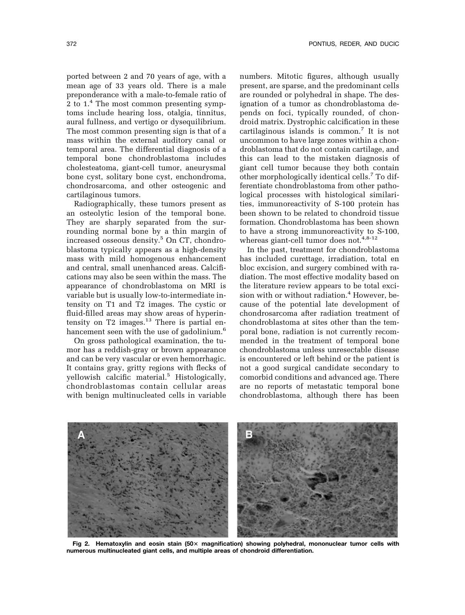<span id="page-2-0"></span>ported between 2 and 70 years of age, with a mean age of 33 years old. There is a male preponderance with a male-to-female ratio of 2 to 1.<sup>[4](#page-3-0)</sup> The most common presenting symptoms include hearing loss, otalgia, tinnitus, aural fullness, and vertigo or dysequilibrium. The most common presenting sign is that of a mass within the external auditory canal or temporal area. The differential diagnosis of a temporal bone chondroblastoma includes cholesteatoma, giant-cell tumor, aneurysmal bone cyst, solitary bone cyst, enchondroma, chondrosarcoma, and other osteogenic and cartilaginous tumors.

Radiographically, these tumors present as an osteolytic lesion of the temporal bone. They are sharply separated from the surrounding normal bone by a thin margin of increased osseous density.[5](#page-3-0) On CT, chondroblastoma typically appears as a high-density mass with mild homogenous enhancement and central, small unenhanced areas. Calcifications may also be seen within the mass. The appearance of chondroblastoma on MRI is variable but is usually low-to-intermediate intensity on T1 and T2 images. The cystic or fluid-filled areas may show areas of hyperintensity on  $T2$  images.<sup>13</sup> There is partial en-hancement seen with the use of gadolinium.<sup>[6](#page-3-0)</sup>

On gross pathological examination, the tumor has a reddish-gray or brown appearance and can be very vascular or even hemorrhagic. It contains gray, gritty regions with flecks of yellowish calcific material.<sup>[5](#page-3-0)</sup> Histologically, chondroblastomas contain cellular areas with benign multinucleated cells in variable numbers. Mitotic figures, although usually present, are sparse, and the predominant cells are rounded or polyhedral in shape. The designation of a tumor as chondroblastoma depends on foci, typically rounded, of chondroid matrix. Dystrophic calcification in these cartilaginous islands is common.<sup>7</sup> It is not uncommon to have large zones within a chondroblastoma that do not contain cartilage, and this can lead to the mistaken diagnosis of giant cell tumor because they both contain other morphologically identical cells.<sup>[7](#page-3-0)</sup> To differentiate chondroblastoma from other pathological processes with histological similarities, immunoreactivity of S-100 protein has been shown to be related to chondroid tissue formation. Chondroblastoma has been shown to have a strong immunoreactivity to S-100, whereas giant-cell tumor does not.<sup>4,8-12</sup>

In the past, treatment for chondroblastoma has included curettage, irradiation, total en bloc excision, and surgery combined with radiation. The most effective modality based on the literature review appears to be total exci-sion with or without radiation.<sup>[4](#page-3-0)</sup> However, because of the potential late development of chondrosarcoma after radiation treatment of chondroblastoma at sites other than the temporal bone, radiation is not currently recommended in the treatment of temporal bone chondroblastoma unless unresectable disease is encountered or left behind or the patient is not a good surgical candidate secondary to comorbid conditions and advanced age. There are no reports of metastatic temporal bone chondroblastoma, although there has been



**Fig 2. Hematoxylin and eosin stain (50 magnification) showing polyhedral, mononuclear tumor cells with numerous multinucleated giant cells, and multiple areas of chondroid differentiation.**